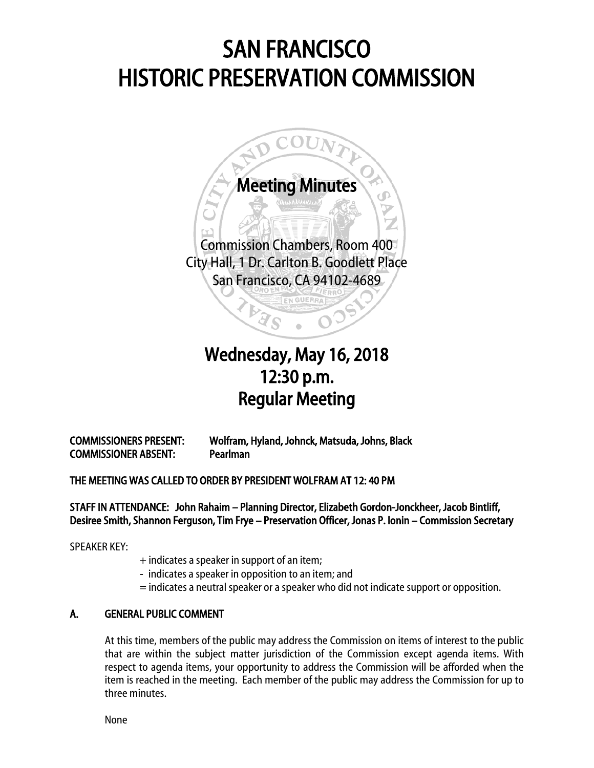# SAN FRANCISCO HISTORIC PRESERVATION COMMISSION



## $\overline{a}$ Wednesday, May 16, 2018 12:30 p.m. Regular Meeting

COMMISSIONERS PRESENT: Wolfram, Hyland, Johnck, Matsuda, Johns, Black COMMISSIONER ABSENT: Pearlman

### THE MEETING WAS CALLED TO ORDER BY PRESIDENT WOLFRAM AT 12: 40 PM

STAFF IN ATTENDANCE: John Rahaim – Planning Director, Elizabeth Gordon-Jonckheer, Jacob Bintliff, Desiree Smith, Shannon Ferguson, Tim Frye – Preservation Officer, Jonas P. Ionin – Commission Secretary

SPEAKER KEY:

- + indicates a speaker in support of an item;
- indicates a speaker in opposition to an item; and
- = indicates a neutral speaker or a speaker who did not indicate support or opposition.

#### A. GENERAL PUBLIC COMMENT

At this time, members of the public may address the Commission on items of interest to the public that are within the subject matter jurisdiction of the Commission except agenda items. With respect to agenda items, your opportunity to address the Commission will be afforded when the item is reached in the meeting. Each member of the public may address the Commission for up to three minutes.

None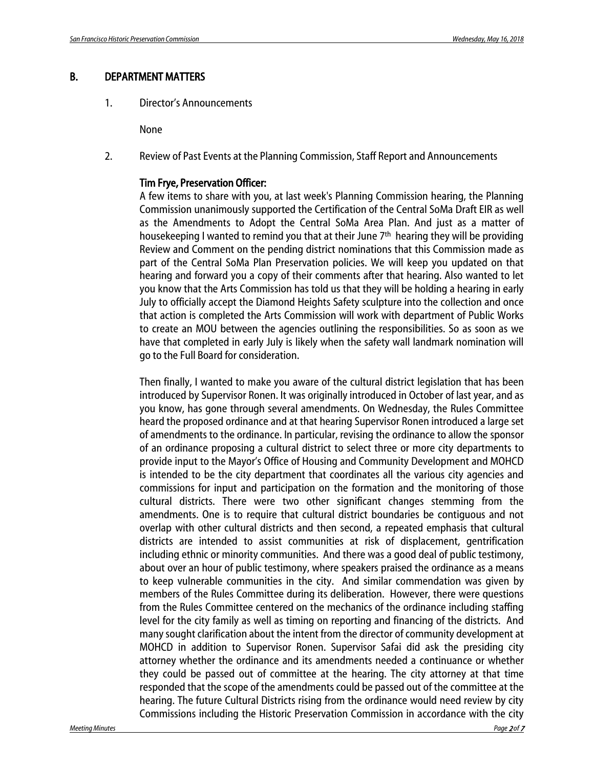#### B. DEPARTMENT MATTERS

1. Director's Announcements

None

2. Review of Past Events at the Planning Commission, Staff Report and Announcements

#### Tim Frye, Preservation Officer:

A few items to share with you, at last week's Planning Commission hearing, the Planning Commission unanimously supported the Certification of the Central SoMa Draft EIR as well as the Amendments to Adopt the Central SoMa Area Plan. And just as a matter of housekeeping I wanted to remind you that at their June 7<sup>th</sup> hearing they will be providing Review and Comment on the pending district nominations that this Commission made as part of the Central SoMa Plan Preservation policies. We will keep you updated on that hearing and forward you a copy of their comments after that hearing. Also wanted to let you know that the Arts Commission has told us that they will be holding a hearing in early July to officially accept the Diamond Heights Safety sculpture into the collection and once that action is completed the Arts Commission will work with department of Public Works to create an MOU between the agencies outlining the responsibilities. So as soon as we have that completed in early July is likely when the safety wall landmark nomination will go to the Full Board for consideration.

Then finally, I wanted to make you aware of the cultural district legislation that has been introduced by Supervisor Ronen. It was originally introduced in October of last year, and as you know, has gone through several amendments. On Wednesday, the Rules Committee heard the proposed ordinance and at that hearing Supervisor Ronen introduced a large set of amendments to the ordinance. In particular, revising the ordinance to allow the sponsor of an ordinance proposing a cultural district to select three or more city departments to provide input to the Mayor's Office of Housing and Community Development and MOHCD is intended to be the city department that coordinates all the various city agencies and commissions for input and participation on the formation and the monitoring of those cultural districts. There were two other significant changes stemming from the amendments. One is to require that cultural district boundaries be contiguous and not overlap with other cultural districts and then second, a repeated emphasis that cultural districts are intended to assist communities at risk of displacement, gentrification including ethnic or minority communities. And there was a good deal of public testimony, about over an hour of public testimony, where speakers praised the ordinance as a means to keep vulnerable communities in the city. And similar commendation was given by members of the Rules Committee during its deliberation. However, there were questions from the Rules Committee centered on the mechanics of the ordinance including staffing level for the city family as well as timing on reporting and financing of the districts. And many sought clarification about the intent from the director of community development at MOHCD in addition to Supervisor Ronen. Supervisor Safai did ask the presiding city attorney whether the ordinance and its amendments needed a continuance or whether they could be passed out of committee at the hearing. The city attorney at that time responded that the scope of the amendments could be passed out of the committee at the hearing. The future Cultural Districts rising from the ordinance would need review by city Commissions including the Historic Preservation Commission in accordance with the city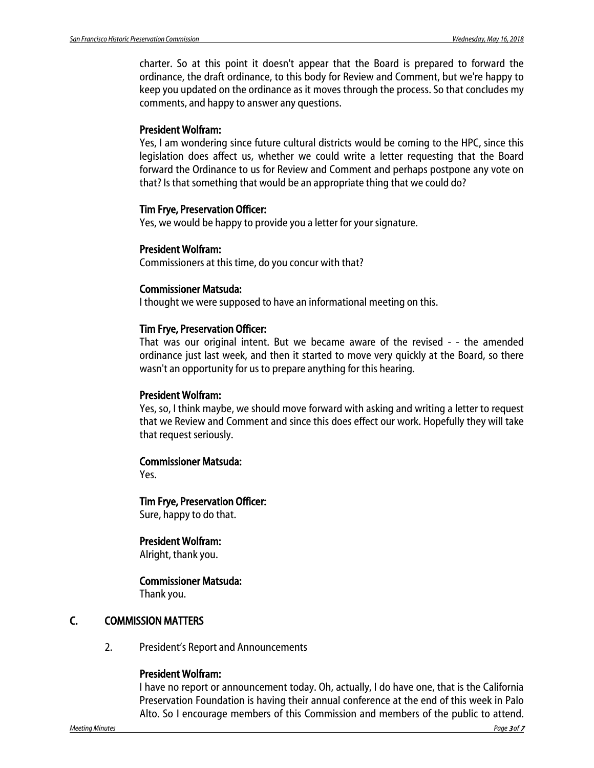charter. So at this point it doesn't appear that the Board is prepared to forward the ordinance, the draft ordinance, to this body for Review and Comment, but we're happy to keep you updated on the ordinance as it moves through the process. So that concludes my comments, and happy to answer any questions.

#### President Wolfram:

Yes, I am wondering since future cultural districts would be coming to the HPC, since this legislation does affect us, whether we could write a letter requesting that the Board forward the Ordinance to us for Review and Comment and perhaps postpone any vote on that? Is that something that would be an appropriate thing that we could do?

#### Tim Frye, Preservation Officer:

Yes, we would be happy to provide you a letter for your signature.

#### President Wolfram:

Commissioners at this time, do you concur with that?

#### Commissioner Matsuda:

I thought we were supposed to have an informational meeting on this.

#### Tim Frye, Preservation Officer:

That was our original intent. But we became aware of the revised - - the amended ordinance just last week, and then it started to move very quickly at the Board, so there wasn't an opportunity for us to prepare anything for this hearing.

#### President Wolfram:

Yes, so, I think maybe, we should move forward with asking and writing a letter to request that we Review and Comment and since this does effect our work. Hopefully they will take that request seriously.

#### Commissioner Matsuda:

Yes.

### Tim Frye, Preservation Officer:

Sure, happy to do that.

#### President Wolfram:

Alright, thank you.

#### Commissioner Matsuda:

Thank you.

#### C. COMMISSION MATTERS

2. President's Report and Announcements

#### President Wolfram:

I have no report or announcement today. Oh, actually, I do have one, that is the California Preservation Foundation is having their annual conference at the end of this week in Palo Alto. So I encourage members of this Commission and members of the public to attend.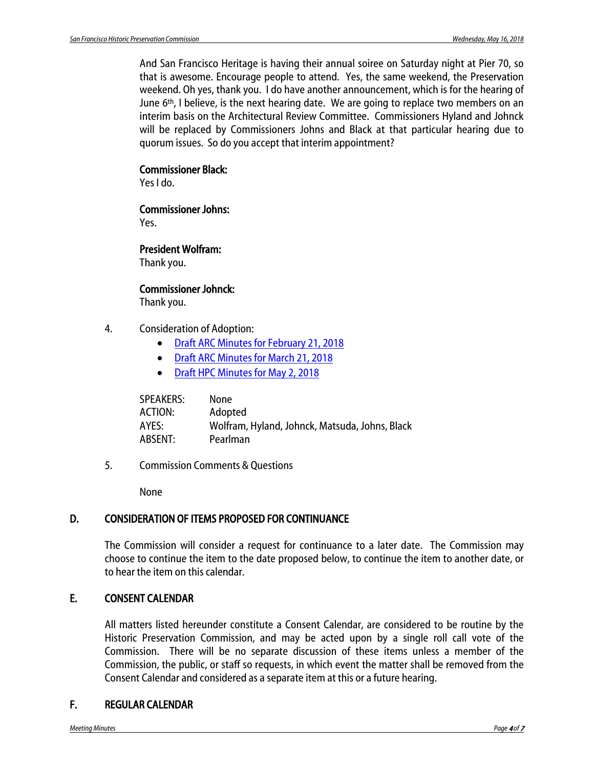And San Francisco Heritage is having their annual soiree on Saturday night at Pier 70, so that is awesome. Encourage people to attend. Yes, the same weekend, the Preservation weekend. Oh yes, thank you. I do have another announcement, which is for the hearing of June 6th, I believe, is the next hearing date. We are going to replace two members on an interim basis on the Architectural Review Committee. Commissioners Hyland and Johnck will be replaced by Commissioners Johns and Black at that particular hearing due to quorum issues. So do you accept that interim appointment?

#### Commissioner Black:

Yes I do.

### Commissioner Johns:

Yes.

#### President Wolfram:

Thank you.

#### Commissioner Johnck:

Thank you.

- 4. Consideration of Adoption:
	- [Draft ARC Minutes for](http://commissions.sfplanning.org/hpcpackets/20180221_arc_min.pdf) February 21, 2018
	- [Draft ARC Minutes for March 21, 2018](http://commissions.sfplanning.org/hpcpackets/20180321_arc_min.pdf)
	- [Draft HPC Minutes for May 2, 2018](http://commissions.sfplanning.org/hpcpackets/20180502_hpc_min.pdf)

| SPEAKERS:      | None                                           |
|----------------|------------------------------------------------|
| <b>ACTION:</b> | Adopted                                        |
| AYES:          | Wolfram, Hyland, Johnck, Matsuda, Johns, Black |
| ABSENT:        | Pearlman                                       |

5. Commission Comments & Questions

None

#### D. CONSIDERATION OF ITEMS PROPOSED FOR CONTINUANCE

The Commission will consider a request for continuance to a later date. The Commission may choose to continue the item to the date proposed below, to continue the item to another date, or to hear the item on this calendar.

#### E. CONSENT CALENDAR

All matters listed hereunder constitute a Consent Calendar, are considered to be routine by the Historic Preservation Commission, and may be acted upon by a single roll call vote of the Commission. There will be no separate discussion of these items unless a member of the Commission, the public, or staff so requests, in which event the matter shall be removed from the Consent Calendar and considered as a separate item at this or a future hearing.

#### F. REGULAR CALENDAR

*Meeting Minutes Page* <sup>4</sup> *of* <sup>7</sup>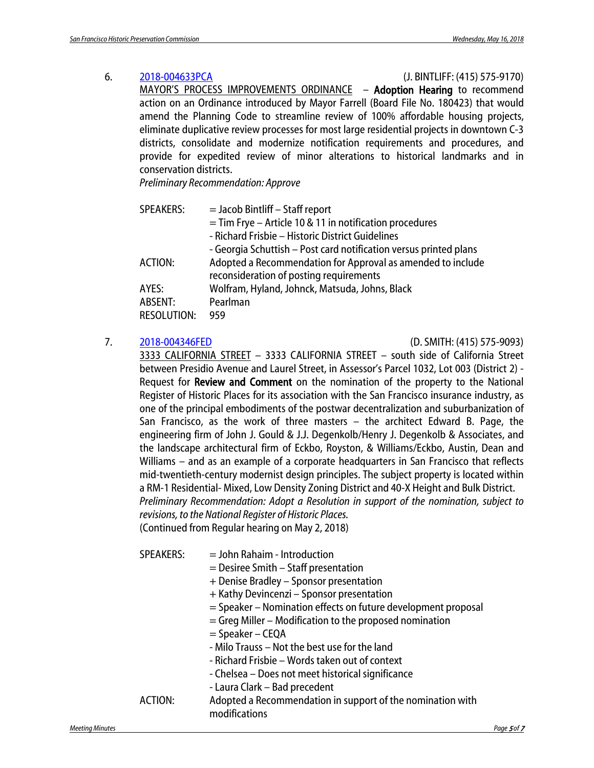### 6. [2018-004633PCA](http://commissions.sfplanning.org/hpcpackets/2018-004633PCA.pdf) (J. BINTLIFF: (415) 575-9170) MAYOR'S PROCESS IMPROVEMENTS ORDINANCE – Adoption Hearing to recommend action on an Ordinance introduced by Mayor Farrell (Board File No. 180423) that would amend the Planning Code to streamline review of 100% affordable housing projects, eliminate duplicative review processes for most large residential projects in downtown C-3 districts, consolidate and modernize notification requirements and procedures, and provide for expedited review of minor alterations to historical landmarks and in conservation districts.

*Preliminary Recommendation: Approve*

| <b>SPEAKERS:</b>                       | $=$ Jacob Bintliff $-$ Staff report<br>$=$ Tim Frye – Article 10 & 11 in notification procedures<br>- Richard Frisbie - Historic District Guidelines                        |
|----------------------------------------|-----------------------------------------------------------------------------------------------------------------------------------------------------------------------------|
| ACTION:                                | - Georgia Schuttish – Post card notification versus printed plans<br>Adopted a Recommendation for Approval as amended to include<br>reconsideration of posting requirements |
| AYES:<br>ABSENT:<br><b>RESOLUTION:</b> | Wolfram, Hyland, Johnck, Matsuda, Johns, Black<br>Pearlman<br>959                                                                                                           |

7. [2018-004346FED](http://commissions.sfplanning.org/hpcpackets/2018-004346FED_050218.pdf) (D. SMITH: (415) 575-9093)

3333 CALIFORNIA STREET – 3333 CALIFORNIA STREET – south side of California Street between Presidio Avenue and Laurel Street, in Assessor's Parcel 1032, Lot 003 (District 2) - Request for **Review and Comment** on the nomination of the property to the National Register of Historic Places for its association with the San Francisco insurance industry, as one of the principal embodiments of the postwar decentralization and suburbanization of San Francisco, as the work of three masters – the architect Edward B. Page, the engineering firm of John J. Gould & J.J. Degenkolb/Henry J. Degenkolb & Associates, and the landscape architectural firm of Eckbo, Royston, & Williams/Eckbo, Austin, Dean and Williams – and as an example of a corporate headquarters in San Francisco that reflects mid-twentieth-century modernist design principles. The subject property is located within a RM-1 Residential- Mixed, Low Density Zoning District and 40-X Height and Bulk District. *Preliminary Recommendation: Adopt a Resolution in support of the nomination, subject to revisions, to the National Register of Historic Places.* (Continued from Regular hearing on May 2, 2018)

| <b>SPEAKERS:</b> | $=$ John Rahaim - Introduction<br>$=$ Desiree Smith $-$ Staff presentation<br>+ Denise Bradley - Sponsor presentation |
|------------------|-----------------------------------------------------------------------------------------------------------------------|
|                  | + Kathy Devincenzi - Sponsor presentation                                                                             |
|                  | = Speaker – Nomination effects on future development proposal                                                         |
|                  | $=$ Greg Miller – Modification to the proposed nomination                                                             |
|                  | $=$ Speaker – CEQA                                                                                                    |
|                  | - Milo Trauss – Not the best use for the land                                                                         |
|                  | - Richard Frisbie - Words taken out of context                                                                        |
|                  | - Chelsea - Does not meet historical significance                                                                     |
|                  | - Laura Clark - Bad precedent                                                                                         |
| ACTION:          | Adopted a Recommendation in support of the nomination with<br>modifications                                           |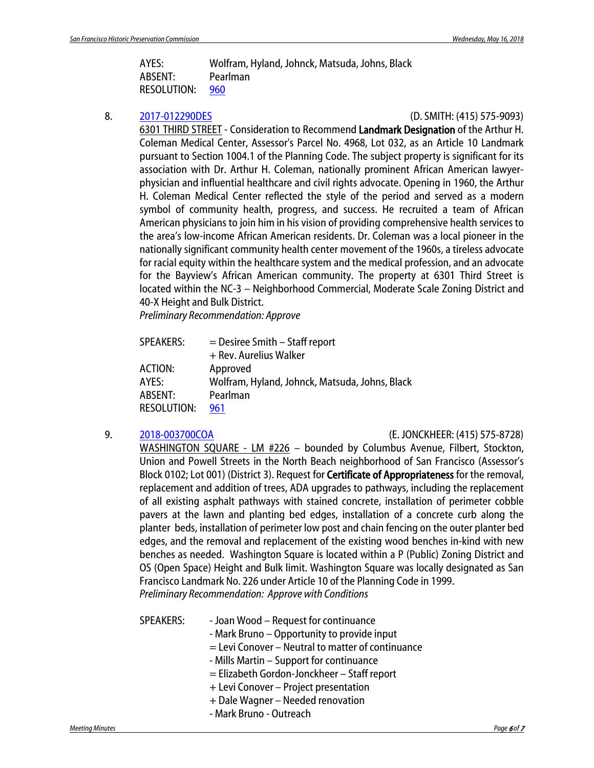AYES: Wolfram, Hyland, Johnck, Matsuda, Johns, Black ABSENT: Pearlman RESOLUTION: [960](http://citypln-m-extnl.sfgov.org/link.ashx?Action=Download&ObjectVersion=-1&vault=%7bA4A7DACD-B0DC-4322-BD29-F6F07103C6E0%7d&objectGUID=%7b942E471A-DA32-4ADE-A842-C66C3166958C%7d&fileGUID=%7b53DA1B3C-A6B2-4D05-970D-5DC24C6390CA%7d)

8. [2017-012290DES](http://commissions.sfplanning.org/hpcpackets/2017-012290DES.pdf) (D. SMITH: (415) 575-9093)

6301 THIRD STREET - Consideration to Recommend Landmark Designation of the Arthur H. Coleman Medical Center, Assessor's Parcel No. 4968, Lot 032, as an Article 10 Landmark pursuant to Section 1004.1 of the Planning Code. The subject property is significant for its association with Dr. Arthur H. Coleman, nationally prominent African American lawyerphysician and influential healthcare and civil rights advocate. Opening in 1960, the Arthur H. Coleman Medical Center reflected the style of the period and served as a modern symbol of community health, progress, and success. He recruited a team of African American physicians to join him in his vision of providing comprehensive health services to the area's low-income African American residents. Dr. Coleman was a local pioneer in the nationally significant community health center movement of the 1960s, a tireless advocate for racial equity within the healthcare system and the medical profession, and an advocate for the Bayview's African American community. The property at 6301 Third Street is located within the NC-3 – Neighborhood Commercial, Moderate Scale Zoning District and 40-X Height and Bulk District.

*Preliminary Recommendation: Approve*

| <b>SPEAKERS:</b>   | $=$ Desiree Smith $-$ Staff report             |
|--------------------|------------------------------------------------|
|                    | + Rev. Aurelius Walker                         |
| ACTION:            | Approved                                       |
| AYFS:              | Wolfram, Hyland, Johnck, Matsuda, Johns, Black |
| ABSENT:            | Pearlman                                       |
| <b>RESOLUTION:</b> | 961                                            |

9. [2018-003700COA](http://commissions.sfplanning.org/hpcpackets/2018-003700COA.pdf) (E. JONCKHEER: (415) 575-8728)

WASHINGTON SQUARE - LM #226 – bounded by Columbus Avenue, Filbert, Stockton, Union and Powell Streets in the North Beach neighborhood of San Francisco (Assessor's Block 0102; Lot 001) (District 3). Request for **Certificate of Appropriateness** for the removal, replacement and addition of trees, ADA upgrades to pathways, including the replacement of all existing asphalt pathways with stained concrete, installation of perimeter cobble pavers at the lawn and planting bed edges, installation of a concrete curb along the planter beds, installation of perimeter low post and chain fencing on the outer planter bed edges, and the removal and replacement of the existing wood benches in-kind with new benches as needed. Washington Square is located within a P (Public) Zoning District and OS (Open Space) Height and Bulk limit. Washington Square was locally designated as San Francisco Landmark No. 226 under Article 10 of the Planning Code in 1999. *Preliminary Recommendation: Approve with Conditions*

SPEAKERS: - Joan Wood – Request for continuance

- Mark Bruno Opportunity to provide input
	- = Levi Conover Neutral to matter of continuance
	- Mills Martin Support for continuance
	- = Elizabeth Gordon-Jonckheer Staff report
	- + Levi Conover Project presentation
- + Dale Wagner Needed renovation
- Mark Bruno Outreach